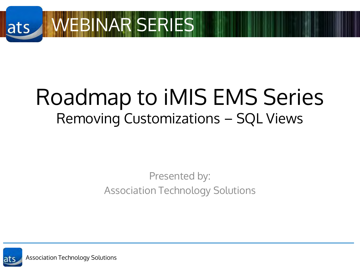

## Roadmap to iMIS EMS Series Removing Customizations – SQL Views

#### Presented by: Association Technology Solutions

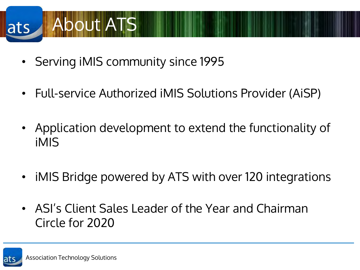## About ATS ats

- Serving iMIS community since 1995
- Full-service Authorized iMIS Solutions Provider (AiSP)
- Application development to extend the functionality of iMIS
- iMIS Bridge powered by ATS with over 120 integrations
- ASI's Client Sales Leader of the Year and Chairman Circle for 2020

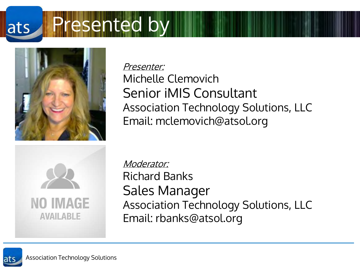#### resented by ats



Presenter: Michelle Clemovich Senior iMIS Consultant Association Technology Solutions, LLC Email: mclemovich@atsol.org



Moderator: Richard Banks Sales Manager Association Technology Solutions, LLC Email: rbanks@atsol.org

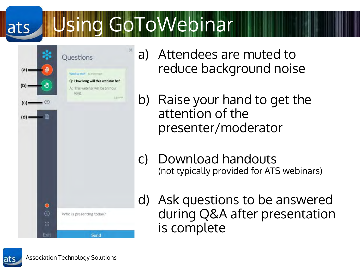#### Using GoToWebinar ats



- a) Attendees are muted to reduce background noise
- b) Raise your hand to get the attention of the presenter/moderator
- c) Download handouts (not typically provided for ATS webinars)
- d) Ask questions to be answered during Q&A after presentation is complete

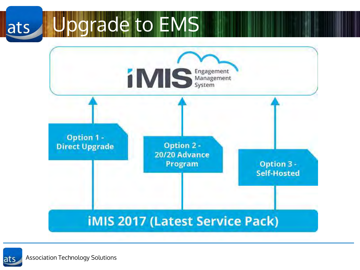#### Upgrade to EMSats



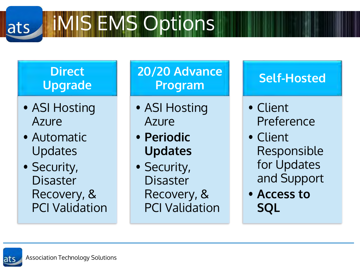#### **MIS EMS Options** ats

#### **Direct Upgrade**

- ASI Hosting Azure
- Automatic Updates

• Security, Disaster Recovery, & PCI Validation

#### **20/20 Advance Program**

- ASI Hosting Azure
- **Periodic Updates**
- Security, Disaster Recovery, & PCI Validation

#### **Self-Hosted**

- Client Preference
- Client Responsible for Updates and Support
- **Access to SQL**

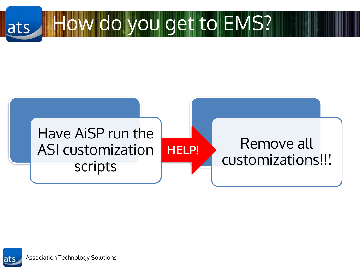



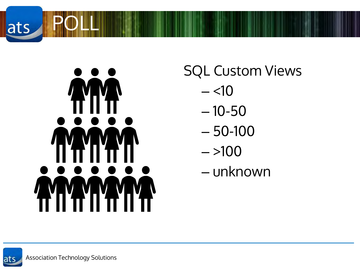



SQL Custom Views

- $<10$
- 10-50
- 50-100
- $> 100$
- unknown

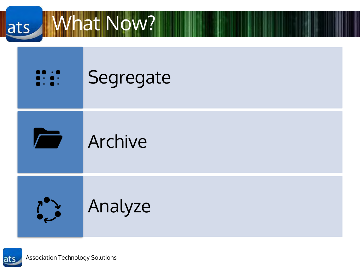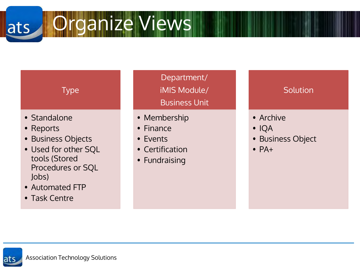Organize Views ats

## Type

- Standalone
- Reports
- Business Objects
- Used for other SQL tools (Stored Procedures or SQL Jobs)
- Automated FTP
- Task Centre

Department/ iMIS Module/ Business Unit

- Membership
- Finance
- Events
- Certification
- Fundraising

#### **Solution**

- Archive
- IQA
- Business Object
- $\bullet$  PA+

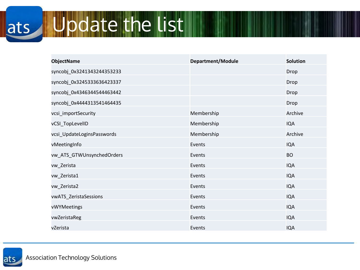#### Update the list ats

| <b>ObjectName</b>          | Department/Module | <b>Solution</b> |
|----------------------------|-------------------|-----------------|
| syncobj_0x3241343244353233 |                   | Drop            |
| syncobj_0x3245333636423337 |                   | Drop            |
| syncobj_0x4346344544463442 |                   | Drop            |
| syncobj_0x4444313541464435 |                   | Drop            |
| vcsi_importSecurity        | Membership        | Archive         |
| vCSI_TopLevelID            | Membership        | <b>IQA</b>      |
| vcsi_UpdateLoginsPasswords | Membership        | Archive         |
| vMeetingInfo               | Events            | <b>IQA</b>      |
| vw_ATS_GTWUnsynchedOrders  | Events            | <b>BO</b>       |
| vw_Zerista                 | Events            | <b>IQA</b>      |
| vw_Zerista1                | Events            | <b>IQA</b>      |
| vw_Zerista2                | Events            | <b>IQA</b>      |
| vwATS_ZeristaSessions      | Events            | <b>IQA</b>      |
| vWYMeetings                | Events            | <b>IQA</b>      |
| vwZeristaReg               | Events            | <b>IQA</b>      |
| vZerista                   | Events            | <b>IQA</b>      |

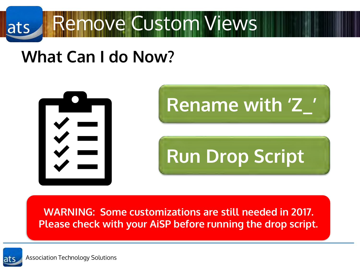

## **What Can I do Now?**



**WARNING: Some customizations are still needed in 2017. Please check with your AiSP before running the drop script.**

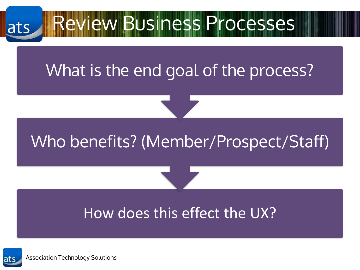# Review Business Processes ats What is the end goal of the process?

## Who benefits? (Member/Prospect/Staff)

# How does this effect the UX?

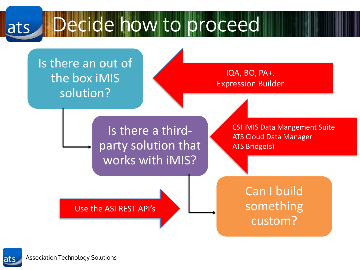Decide how to proceed ats



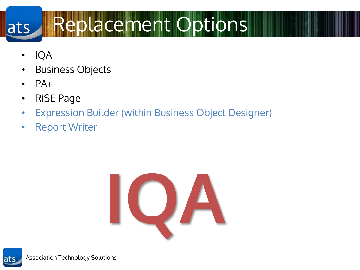#### Replacement Options ats

- IQA
- Business Objects
- $\bullet$  PA+
- RiSE Page
- Expression Builder (within Business Object Designer)
- Report Writer



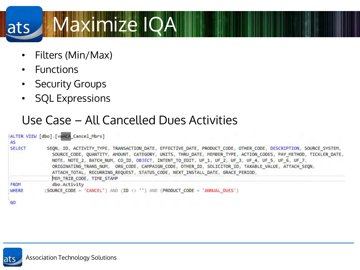#### Maximize IQA ats

- Filters (Min/Max)
- Functions
- Security Groups
- SQL Expressions

### Use Case – All Cancelled Dues Activities

| AS.           | HALTER VIEW [dbo] [vwACA Cancel Mbrs]                                                                                                                                                                                                                                                                                                                                                                                                                                                                                             |
|---------------|-----------------------------------------------------------------------------------------------------------------------------------------------------------------------------------------------------------------------------------------------------------------------------------------------------------------------------------------------------------------------------------------------------------------------------------------------------------------------------------------------------------------------------------|
| <b>SELECT</b> | SEQN, ID, ACTIVITY TYPE, TRANSACTION DATE, EFFECTIVE DATE, PRODUCT CODE, OTHER CODE, DESCRIPTION, SOURCE SYSTEM,<br>SOURCE CODE, QUANTITY, AMOUNT, CATEGORY, UNITS, THRU DATE, MEMBER TYPE, ACTION CODES, PAY METHOD, TICKLER DATE,<br>NOTE, NOTE 2, BATCH NUM, CO ID, OBJECT, INTENT TO EDIT, UF 1, UF 2, UF 3, UF 4, UF 5, UF 6, UF 7,<br>ORIGINATING TRANS NUM, ORG CODE, CAMPAIGN CODE, OTHER ID, SOLICITOR ID, TAXABLE VALUE, ATTACH SEQN,<br>ATTACH TOTAL, RECURRING REQUEST, STATUS CODE, NEXT INSTALL DATE, GRACE PERIOD, |
|               | MEM TRIB CODE, TIME STAMP                                                                                                                                                                                                                                                                                                                                                                                                                                                                                                         |
| <b>FROM</b>   | dbo.Activity                                                                                                                                                                                                                                                                                                                                                                                                                                                                                                                      |
| WHERE         | SOURCE CODE = 'CANCEL') AND (ID <> '') AND (PRODUCT CODE = 'ANNUAL DUES')                                                                                                                                                                                                                                                                                                                                                                                                                                                         |

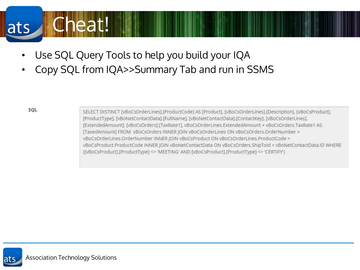#### **Uneat!** ats

- Use SQL Query Tools to help you build your IQA
- Copy SQL from IQA>>Summary Tab and run in SSMS

SQL

SELECT DISTINCT [vBoCsOrderLines].[ProductCode] AS [Product], [vBoCsOrderLines].[Description], [vBoCsProduct]. [ProductType], [vBoNetContactData].[FullName], [vBoNetContactData].[ContactKey], [vBoCsOrderLines]. [ExtendedAmount], [vBoCsOrders],[TaxRate1], vBoCsOrderLines.ExtendedAmount + vBoCsOrders.TaxRate1 AS [TaxedAmount] FROM\_vBoCsOrders INNER JOIN vBoCsOrderLines ON vBoCsOrders.OrderNumber = vBoCsOrderLines.OrderNumber INNER JOIN vBoCsProduct ON vBoCsOrderLines.ProductCode = vBoCsProduct.ProductCode INNER JOIN vBoNetContactData ON vBoCsOrders.ShipToId = vBoNetContactData.ID WHERE ([vBoCsProduct].[ProductType] <> 'MEETING' AND [vBoCsProduct].[ProductType] <> 'CERTIFY')

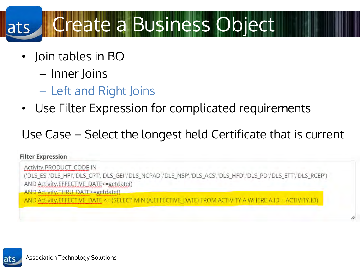#### Create a Business Object ats

- Join tables in BO
	- Inner Joins
	- Left and Right Joins
- Use Filter Expression for complicated requirements

Use Case – Select the longest held Certificate that is current

#### **Filter Expression**

Activity.PRODUCT CODE IN ('DLS ES','DLS HFI','DLS CPT','DLS GEI','DLS NCPAD','DLS NSP','DLS ACS','DLS HFD','DLS PD','DLS ETT','DLS RCEP') AND Activity.EFFECTIVE DATE<=getdate() AND Activity THRU DATE>=getdate() AND Activity, EFFECTIVE DATE <= (SELECT MIN (A. EFFECTIVE DATE) FROM ACTIVITY A WHERE A. ID = ACTIVITY, ID)

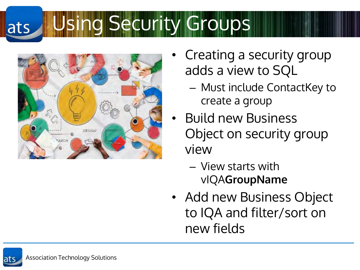#### Using Security Groupsats



- Creating a security group adds a view to SQL
	- Must include ContactKey to create a group
- Build new Business Object on security group view
	- View starts with vIQA**GroupName**
- Add new Business Object to IQA and filter/sort on new fields

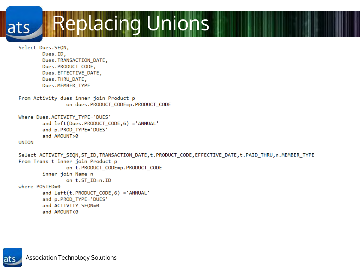Replacing Unions ats

Select Dues.SEQN,<br>Dues.ID,<br>Dues.TRANSACTION\_DATE,<br>Dues.PRODUCT CODE, Dues.EFFECTIVE\_DATE,<br>Dues.THRU DATE, Dues.MEMBER\_TYPE<br>• From Activity dues inner join Product p on dues.PRODUCT\_CODE=p.PRODUCT\_CODE<br>Where Dues.ACTIVITY TYPE='DUES' and left(Dues.PRODUCT\_CODE,6) ='ANNUAL'<br>and p.PROD\_TYPE='DUES'<br>and AMOUNT>0 and Another **UNION** Select ACTIVITY\_SEQN,ST\_ID,TRANSACTION\_DATE,t.PRODUCT\_CODE,EFFECTIVE\_DATE,t.PAID\_THRU,n.MEMBER\_TYPE From Trans t inner join Product p on t.PRODUCT CODE=p.PRODUCT CODE inner join Name n on t.ST\_ID=n.ID where POSTED=0 and left(t.PRODUCT\_CODE,6) ='ANNUAL' and p.PROD\_TYPE='DUES' and ACTIVITY SEQN=0 and AMOUNT<0

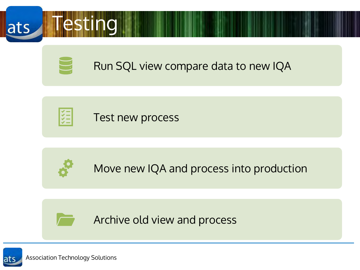



Archive old view and process

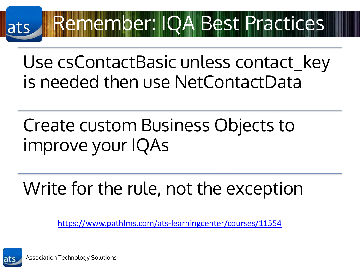### Remember: IQA Best Practices ats

Use csContactBasic unless contact\_key is needed then use NetContactData

Create custom Business Objects to improve your IQAs

Write for the rule, not the exception

<https://www.pathlms.com/ats-learningcenter/courses/11554>

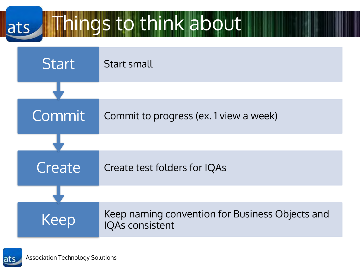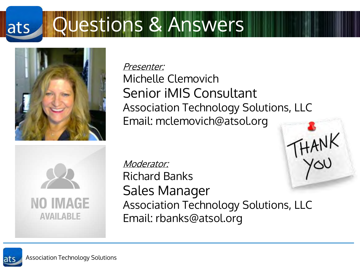#### Questions & Answersats



Presenter: Michelle Clemovich Senior iMIS Consultant Association Technology Solutions, LLC Email: mclemovich@atsol.org



HANK Moderator: Richard Banks Sales Manager Association Technology Solutions, LLC Email: rbanks@atsol.org